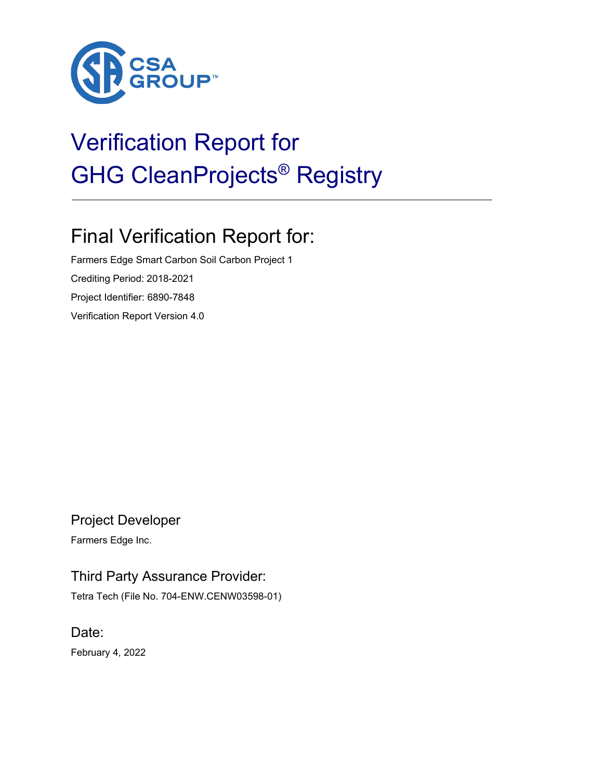

# Verification Report for GHG CleanProjects® Registry

# Final Verification Report for:

Farmers Edge Smart Carbon Soil Carbon Project 1 Crediting Period: 2018-2021 Project Identifier: 6890-7848 Verification Report Version 4.0

Project Developer

Farmers Edge Inc.

## Third Party Assurance Provider:

Tetra Tech (File No. 704-ENW.CENW03598-01)

Date: February 4, 2022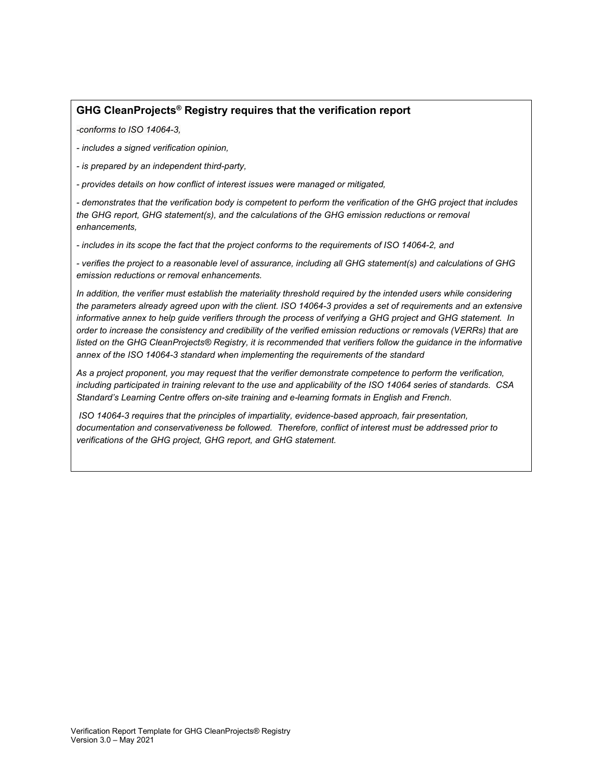### **GHG CleanProjects® Registry requires that the verification report**

*-conforms to ISO 14064-3,*

*- includes a signed verification opinion,*

*- is prepared by an independent third-party,* 

*- provides details on how conflict of interest issues were managed or mitigated,* 

*- demonstrates that the verification body is competent to perform the verification of the GHG project that includes the GHG report, GHG statement(s), and the calculations of the GHG emission reductions or removal enhancements,*

*- includes in its scope the fact that the project conforms to the requirements of ISO 14064-2, and*

*- verifies the project to a reasonable level of assurance, including all GHG statement(s) and calculations of GHG emission reductions or removal enhancements.* 

In addition, the verifier must establish the materiality threshold required by the intended users while considering *the parameters already agreed upon with the client. ISO 14064-3 provides a set of requirements and an extensive informative annex to help guide verifiers through the process of verifying a GHG project and GHG statement. In order to increase the consistency and credibility of the verified emission reductions or removals (VERRs) that are*  listed on the GHG CleanProjects® Registry, it is recommended that verifiers follow the guidance in the informative *annex of the ISO 14064-3 standard when implementing the requirements of the standard*

*As a project proponent, you may request that the verifier demonstrate competence to perform the verification, including participated in training relevant to the use and applicability of the ISO 14064 series of standards. CSA Standard's Learning Centre offers on-site training and e-learning formats in English and French.* 

*ISO 14064-3 requires that the principles of impartiality, evidence-based approach, fair presentation, documentation and conservativeness be followed. Therefore, conflict of interest must be addressed prior to verifications of the GHG project, GHG report, and GHG statement.*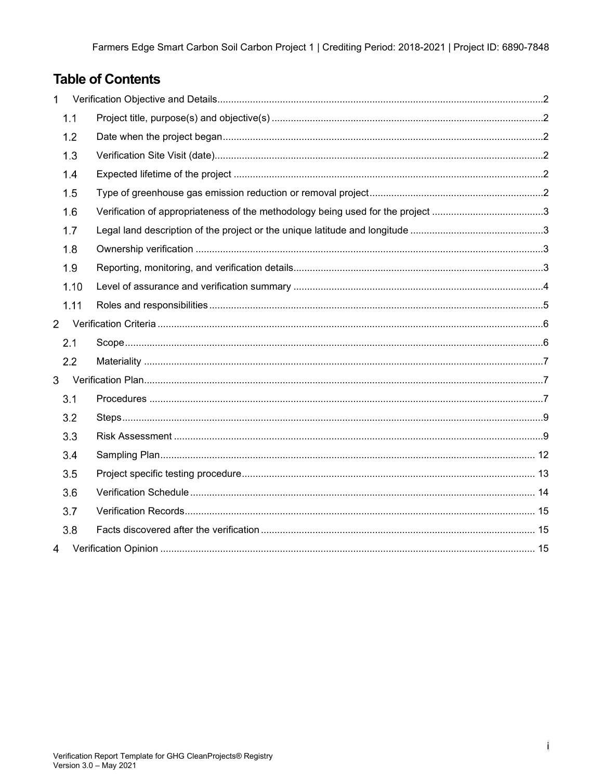# **Table of Contents**

| 1              |                                                                                 |  |
|----------------|---------------------------------------------------------------------------------|--|
| 1.1            |                                                                                 |  |
| 1.2            |                                                                                 |  |
| 1.3            |                                                                                 |  |
| 1.4            |                                                                                 |  |
| 1.5            |                                                                                 |  |
| 1.6            | Verification of appropriateness of the methodology being used for the project 3 |  |
| 1.7            |                                                                                 |  |
| 1.8            |                                                                                 |  |
| 1.9            |                                                                                 |  |
| 1.10           |                                                                                 |  |
| 1.11           |                                                                                 |  |
| $\overline{2}$ |                                                                                 |  |
| 2.1            |                                                                                 |  |
| 2.2            |                                                                                 |  |
| 3              |                                                                                 |  |
| 3.1            |                                                                                 |  |
| 3.2            |                                                                                 |  |
| 3.3            |                                                                                 |  |
| 3.4            |                                                                                 |  |
| 3.5            |                                                                                 |  |
| 3.6            |                                                                                 |  |
| 3.7            |                                                                                 |  |
| 3.8            |                                                                                 |  |
| 4              |                                                                                 |  |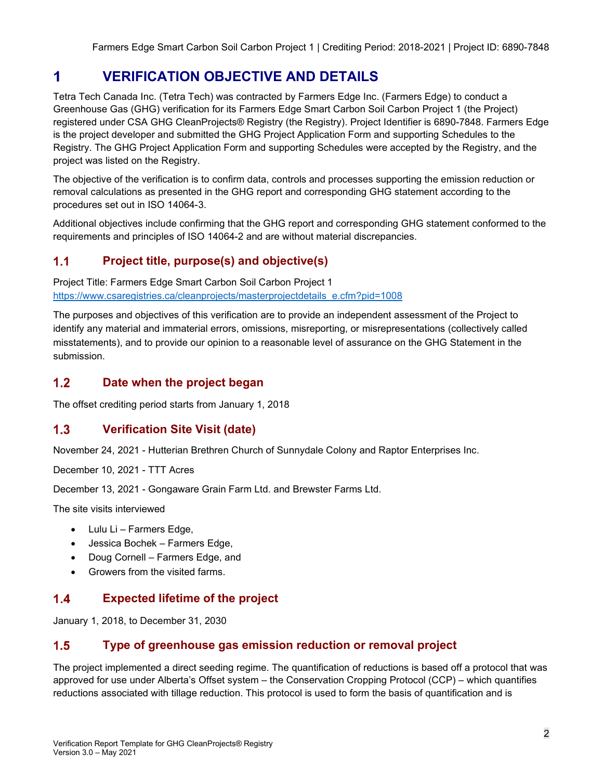#### <span id="page-3-0"></span>1 **VERIFICATION OBJECTIVE AND DETAILS**

Tetra Tech Canada Inc. (Tetra Tech) was contracted by Farmers Edge Inc. (Farmers Edge) to conduct a Greenhouse Gas (GHG) verification for its Farmers Edge Smart Carbon Soil Carbon Project 1 (the Project) registered under CSA GHG CleanProjects® Registry (the Registry). Project Identifier is 6890-7848. Farmers Edge is the project developer and submitted the GHG Project Application Form and supporting Schedules to the Registry. The GHG Project Application Form and supporting Schedules were accepted by the Registry, and the project was listed on the Registry.

The objective of the verification is to confirm data, controls and processes supporting the emission reduction or removal calculations as presented in the GHG report and corresponding GHG statement according to the procedures set out in ISO 14064-3.

Additional objectives include confirming that the GHG report and corresponding GHG statement conformed to the requirements and principles of ISO 14064-2 and are without material discrepancies.

#### <span id="page-3-1"></span> $1.1$ **Project title, purpose(s) and objective(s)**

Project Title: Farmers Edge Smart Carbon Soil Carbon Project 1 [https://www.csaregistries.ca/cleanprojects/masterprojectdetails\\_e.cfm?pid=1008](https://www.csaregistries.ca/cleanprojects/masterprojectdetails_e.cfm?pid=1008)

The purposes and objectives of this verification are to provide an independent assessment of the Project to identify any material and immaterial errors, omissions, misreporting, or misrepresentations (collectively called misstatements), and to provide our opinion to a reasonable level of assurance on the GHG Statement in the submission.

#### <span id="page-3-2"></span> $1.2$ **Date when the project began**

The offset crediting period starts from January 1, 2018

#### <span id="page-3-3"></span> $1.3$ **Verification Site Visit (date)**

November 24, 2021 - Hutterian Brethren Church of Sunnydale Colony and Raptor Enterprises Inc.

December 10, 2021 - TTT Acres

December 13, 2021 - Gongaware Grain Farm Ltd. and Brewster Farms Ltd.

The site visits interviewed

- Lulu Li Farmers Edge,
- Jessica Bochek Farmers Edge,
- Doug Cornell Farmers Edge, and
- Growers from the visited farms.

#### <span id="page-3-4"></span> $1.4$ **Expected lifetime of the project**

January 1, 2018, to December 31, 2030

#### <span id="page-3-5"></span> $1.5$ **Type of greenhouse gas emission reduction or removal project**

The project implemented a direct seeding regime. The quantification of reductions is based off a protocol that was approved for use under Alberta's Offset system – the Conservation Cropping Protocol (CCP) – which quantifies reductions associated with tillage reduction. This protocol is used to form the basis of quantification and is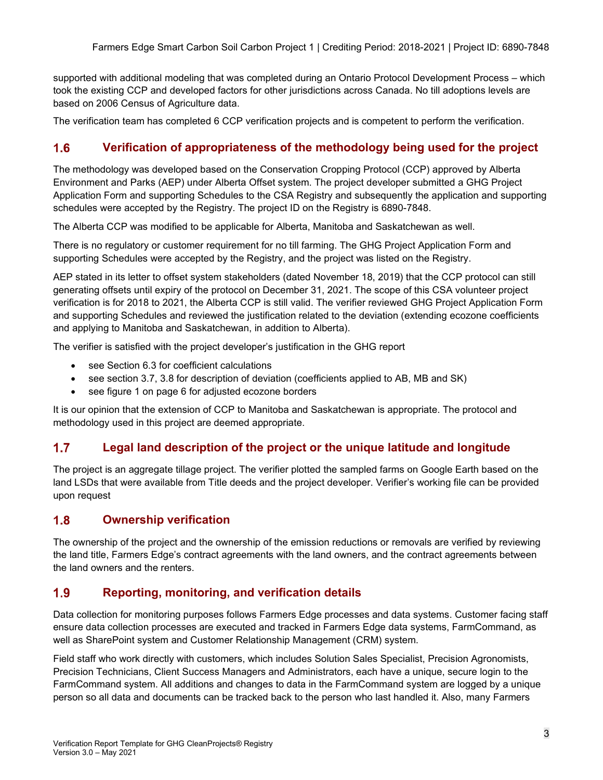supported with additional modeling that was completed during an Ontario Protocol Development Process – which took the existing CCP and developed factors for other jurisdictions across Canada. No till adoptions levels are based on 2006 Census of Agriculture data.

The verification team has completed 6 CCP verification projects and is competent to perform the verification.

#### <span id="page-4-0"></span> $1.6$ **Verification of appropriateness of the methodology being used for the project**

The methodology was developed based on the Conservation Cropping Protocol (CCP) approved by Alberta Environment and Parks (AEP) under Alberta Offset system. The project developer submitted a GHG Project Application Form and supporting Schedules to the CSA Registry and subsequently the application and supporting schedules were accepted by the Registry. The project ID on the Registry is 6890-7848.

The Alberta CCP was modified to be applicable for Alberta, Manitoba and Saskatchewan as well.

There is no regulatory or customer requirement for no till farming. The GHG Project Application Form and supporting Schedules were accepted by the Registry, and the project was listed on the Registry.

AEP stated in its letter to offset system stakeholders (dated November 18, 2019) that the CCP protocol can still generating offsets until expiry of the protocol on December 31, 2021. The scope of this CSA volunteer project verification is for 2018 to 2021, the Alberta CCP is still valid. The verifier reviewed GHG Project Application Form and supporting Schedules and reviewed the justification related to the deviation (extending ecozone coefficients and applying to Manitoba and Saskatchewan, in addition to Alberta).

The verifier is satisfied with the project developer's justification in the GHG report

- see Section 6.3 for coefficient calculations
- see section 3.7, 3.8 for description of deviation (coefficients applied to AB, MB and SK)
- see figure 1 on page 6 for adjusted ecozone borders

It is our opinion that the extension of CCP to Manitoba and Saskatchewan is appropriate. The protocol and methodology used in this project are deemed appropriate.

#### <span id="page-4-1"></span> $1.7$ **Legal land description of the project or the unique latitude and longitude**

The project is an aggregate tillage project. The verifier plotted the sampled farms on Google Earth based on the land LSDs that were available from Title deeds and the project developer. Verifier's working file can be provided upon request

#### <span id="page-4-2"></span> $1.8$ **Ownership verification**

The ownership of the project and the ownership of the emission reductions or removals are verified by reviewing the land title, Farmers Edge's contract agreements with the land owners, and the contract agreements between the land owners and the renters.

#### <span id="page-4-3"></span> $1.9$ **Reporting, monitoring, and verification details**

Data collection for monitoring purposes follows Farmers Edge processes and data systems. Customer facing staff ensure data collection processes are executed and tracked in Farmers Edge data systems, FarmCommand, as well as SharePoint system and Customer Relationship Management (CRM) system.

Field staff who work directly with customers, which includes Solution Sales Specialist, Precision Agronomists, Precision Technicians, Client Success Managers and Administrators, each have a unique, secure login to the FarmCommand system. All additions and changes to data in the FarmCommand system are logged by a unique person so all data and documents can be tracked back to the person who last handled it. Also, many Farmers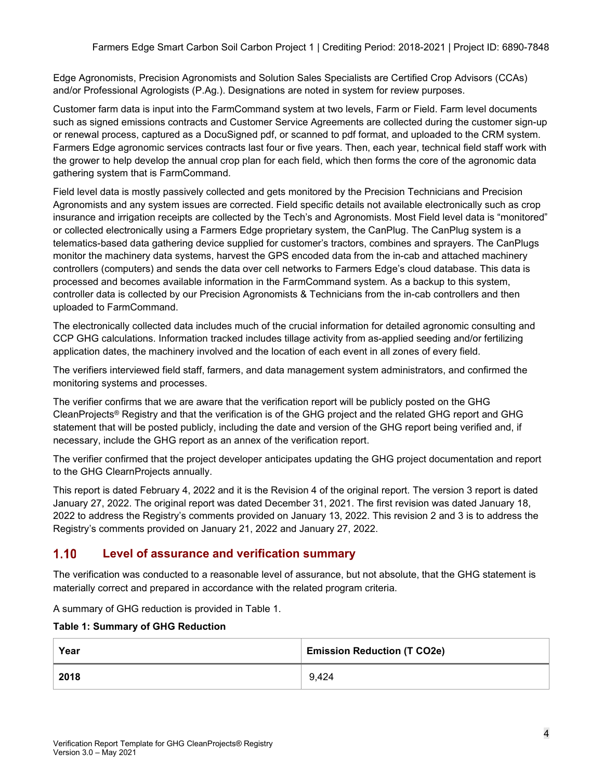Edge Agronomists, Precision Agronomists and Solution Sales Specialists are Certified Crop Advisors (CCAs) and/or Professional Agrologists (P.Ag.). Designations are noted in system for review purposes.

Customer farm data is input into the FarmCommand system at two levels, Farm or Field. Farm level documents such as signed emissions contracts and Customer Service Agreements are collected during the customer sign-up or renewal process, captured as a DocuSigned pdf, or scanned to pdf format, and uploaded to the CRM system. Farmers Edge agronomic services contracts last four or five years. Then, each year, technical field staff work with the grower to help develop the annual crop plan for each field, which then forms the core of the agronomic data gathering system that is FarmCommand.

Field level data is mostly passively collected and gets monitored by the Precision Technicians and Precision Agronomists and any system issues are corrected. Field specific details not available electronically such as crop insurance and irrigation receipts are collected by the Tech's and Agronomists. Most Field level data is "monitored" or collected electronically using a Farmers Edge proprietary system, the CanPlug. The CanPlug system is a telematics-based data gathering device supplied for customer's tractors, combines and sprayers. The CanPlugs monitor the machinery data systems, harvest the GPS encoded data from the in-cab and attached machinery controllers (computers) and sends the data over cell networks to Farmers Edge's cloud database. This data is processed and becomes available information in the FarmCommand system. As a backup to this system, controller data is collected by our Precision Agronomists & Technicians from the in-cab controllers and then uploaded to FarmCommand.

The electronically collected data includes much of the crucial information for detailed agronomic consulting and CCP GHG calculations. Information tracked includes tillage activity from as-applied seeding and/or fertilizing application dates, the machinery involved and the location of each event in all zones of every field.

The verifiers interviewed field staff, farmers, and data management system administrators, and confirmed the monitoring systems and processes.

The verifier confirms that we are aware that the verification report will be publicly posted on the GHG CleanProjects® Registry and that the verification is of the GHG project and the related GHG report and GHG statement that will be posted publicly, including the date and version of the GHG report being verified and, if necessary, include the GHG report as an annex of the verification report.

The verifier confirmed that the project developer anticipates updating the GHG project documentation and report to the GHG ClearnProjects annually.

This report is dated February 4, 2022 and it is the Revision 4 of the original report. The version 3 report is dated January 27, 2022. The original report was dated December 31, 2021. The first revision was dated January 18, 2022 to address the Registry's comments provided on January 13, 2022. This revision 2 and 3 is to address the Registry's comments provided on January 21, 2022 and January 27, 2022.

#### <span id="page-5-0"></span> $1.10$ **Level of assurance and verification summary**

The verification was conducted to a reasonable level of assurance, but not absolute, that the GHG statement is materially correct and prepared in accordance with the related program criteria.

A summary of GHG reduction is provided in Table 1.

### **Table 1: Summary of GHG Reduction**

| Year | <b>Emission Reduction (T CO2e)</b> |
|------|------------------------------------|
| 2018 | 9,424                              |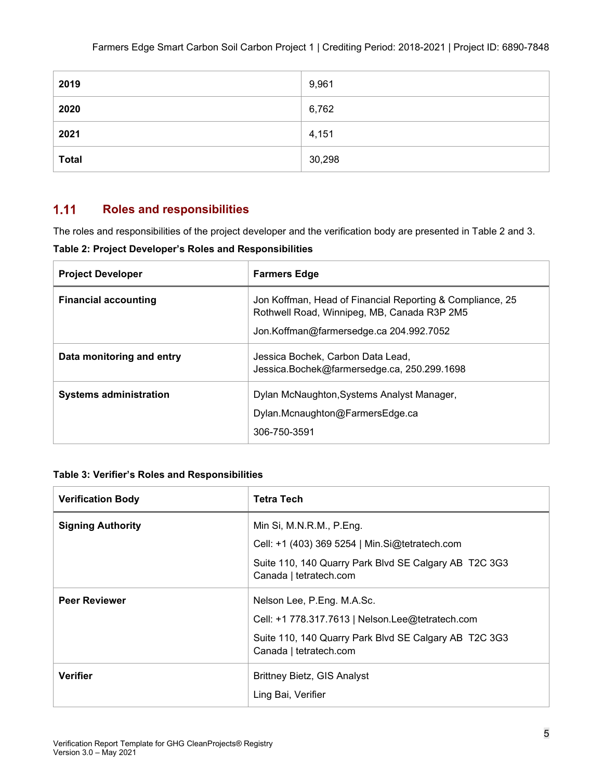| 2019         | 9,961  |
|--------------|--------|
| 2020         | 6,762  |
| 2021         | 4,151  |
| <b>Total</b> | 30,298 |

#### <span id="page-6-0"></span> $1.11$ **Roles and responsibilities**

The roles and responsibilities of the project developer and the verification body are presented in Table 2 and 3.

**Table 2: Project Developer's Roles and Responsibilities**

| <b>Project Developer</b>      | <b>Farmers Edge</b>                                                                                                                                 |
|-------------------------------|-----------------------------------------------------------------------------------------------------------------------------------------------------|
| <b>Financial accounting</b>   | Jon Koffman, Head of Financial Reporting & Compliance, 25<br>Rothwell Road, Winnipeg, MB, Canada R3P 2M5<br>Jon.Koffman@farmersedge.ca 204.992.7052 |
| Data monitoring and entry     | Jessica Bochek, Carbon Data Lead,<br>Jessica.Bochek@farmersedge.ca, 250.299.1698                                                                    |
| <b>Systems administration</b> | Dylan McNaughton, Systems Analyst Manager,<br>Dylan.Mcnaughton@FarmersEdge.ca<br>306-750-3591                                                       |

### **Table 3: Verifier's Roles and Responsibilities**

| <b>Verification Body</b> | <b>Tetra Tech</b>                                                               |
|--------------------------|---------------------------------------------------------------------------------|
| <b>Signing Authority</b> | Min Si, M.N.R.M., P.Eng.                                                        |
|                          | Cell: +1 (403) 369 5254   Min.Si@tetratech.com                                  |
|                          | Suite 110, 140 Quarry Park Blvd SE Calgary AB T2C 3G3<br>Canada   tetratech.com |
| <b>Peer Reviewer</b>     | Nelson Lee, P.Eng. M.A.Sc.                                                      |
|                          | Cell: +1 778.317.7613   Nelson.Lee@tetratech.com                                |
|                          | Suite 110, 140 Quarry Park Blvd SE Calgary AB T2C 3G3<br>Canada   tetratech.com |
| <b>Verifier</b>          | <b>Brittney Bietz, GIS Analyst</b>                                              |
|                          | Ling Bai, Verifier                                                              |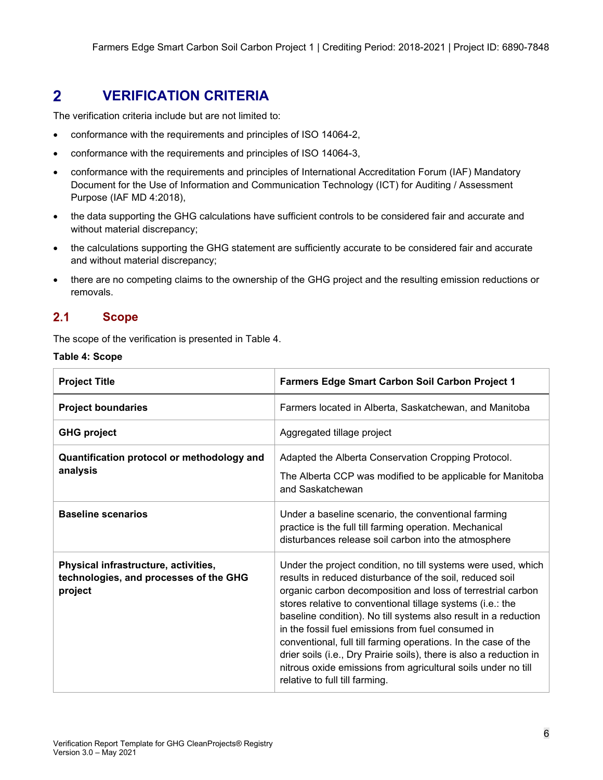#### <span id="page-7-0"></span> $\overline{2}$ **VERIFICATION CRITERIA**

The verification criteria include but are not limited to:

- conformance with the requirements and principles of ISO 14064-2,
- conformance with the requirements and principles of ISO 14064-3,
- conformance with the requirements and principles of International Accreditation Forum (IAF) Mandatory Document for the Use of Information and Communication Technology (ICT) for Auditing / Assessment Purpose (IAF MD 4:2018),
- the data supporting the GHG calculations have sufficient controls to be considered fair and accurate and without material discrepancy;
- the calculations supporting the GHG statement are sufficiently accurate to be considered fair and accurate and without material discrepancy;
- there are no competing claims to the ownership of the GHG project and the resulting emission reductions or removals.

#### <span id="page-7-1"></span> $2.1$ **Scope**

The scope of the verification is presented in Table 4.

|  |  | Table 4: Scope |
|--|--|----------------|
|--|--|----------------|

| <b>Project Title</b>                                                                      | Farmers Edge Smart Carbon Soil Carbon Project 1                                                                                                                                                                                                                                                                                                                                                                                                                                                                                                                                                                             |
|-------------------------------------------------------------------------------------------|-----------------------------------------------------------------------------------------------------------------------------------------------------------------------------------------------------------------------------------------------------------------------------------------------------------------------------------------------------------------------------------------------------------------------------------------------------------------------------------------------------------------------------------------------------------------------------------------------------------------------------|
| <b>Project boundaries</b>                                                                 | Farmers located in Alberta, Saskatchewan, and Manitoba                                                                                                                                                                                                                                                                                                                                                                                                                                                                                                                                                                      |
| <b>GHG project</b>                                                                        | Aggregated tillage project                                                                                                                                                                                                                                                                                                                                                                                                                                                                                                                                                                                                  |
| Quantification protocol or methodology and<br>analysis                                    | Adapted the Alberta Conservation Cropping Protocol.<br>The Alberta CCP was modified to be applicable for Manitoba<br>and Saskatchewan                                                                                                                                                                                                                                                                                                                                                                                                                                                                                       |
| <b>Baseline scenarios</b>                                                                 | Under a baseline scenario, the conventional farming<br>practice is the full till farming operation. Mechanical<br>disturbances release soil carbon into the atmosphere                                                                                                                                                                                                                                                                                                                                                                                                                                                      |
| Physical infrastructure, activities,<br>technologies, and processes of the GHG<br>project | Under the project condition, no till systems were used, which<br>results in reduced disturbance of the soil, reduced soil<br>organic carbon decomposition and loss of terrestrial carbon<br>stores relative to conventional tillage systems (i.e.: the<br>baseline condition). No till systems also result in a reduction<br>in the fossil fuel emissions from fuel consumed in<br>conventional, full till farming operations. In the case of the<br>drier soils (i.e., Dry Prairie soils), there is also a reduction in<br>nitrous oxide emissions from agricultural soils under no till<br>relative to full till farming. |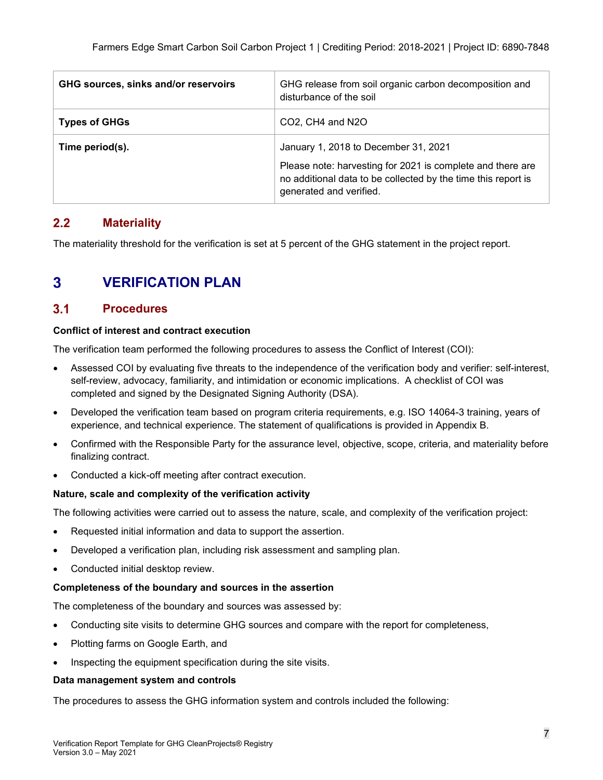| GHG sources, sinks and/or reservoirs | GHG release from soil organic carbon decomposition and<br>disturbance of the soil                                                                                                              |
|--------------------------------------|------------------------------------------------------------------------------------------------------------------------------------------------------------------------------------------------|
| <b>Types of GHGs</b>                 | CO2, CH4 and N2O                                                                                                                                                                               |
| Time period(s).                      | January 1, 2018 to December 31, 2021<br>Please note: harvesting for 2021 is complete and there are<br>no additional data to be collected by the time this report is<br>generated and verified. |

#### <span id="page-8-0"></span> $2.2$ **Materiality**

The materiality threshold for the verification is set at 5 percent of the GHG statement in the project report.

#### <span id="page-8-1"></span> $\overline{3}$ **VERIFICATION PLAN**

#### <span id="page-8-2"></span> $3.1$ **Procedures**

### **Conflict of interest and contract execution**

The verification team performed the following procedures to assess the Conflict of Interest (COI):

- Assessed COI by evaluating five threats to the independence of the verification body and verifier: self-interest, self-review, advocacy, familiarity, and intimidation or economic implications. A checklist of COI was completed and signed by the Designated Signing Authority (DSA).
- Developed the verification team based on program criteria requirements, e.g. ISO 14064-3 training, years of experience, and technical experience. The statement of qualifications is provided in Appendix B.
- Confirmed with the Responsible Party for the assurance level, objective, scope, criteria, and materiality before finalizing contract.
- Conducted a kick-off meeting after contract execution.

### **Nature, scale and complexity of the verification activity**

The following activities were carried out to assess the nature, scale, and complexity of the verification project:

- Requested initial information and data to support the assertion.
- Developed a verification plan, including risk assessment and sampling plan.
- Conducted initial desktop review.

### **Completeness of the boundary and sources in the assertion**

The completeness of the boundary and sources was assessed by:

- Conducting site visits to determine GHG sources and compare with the report for completeness,
- Plotting farms on Google Earth, and
- Inspecting the equipment specification during the site visits.

### **Data management system and controls**

The procedures to assess the GHG information system and controls included the following: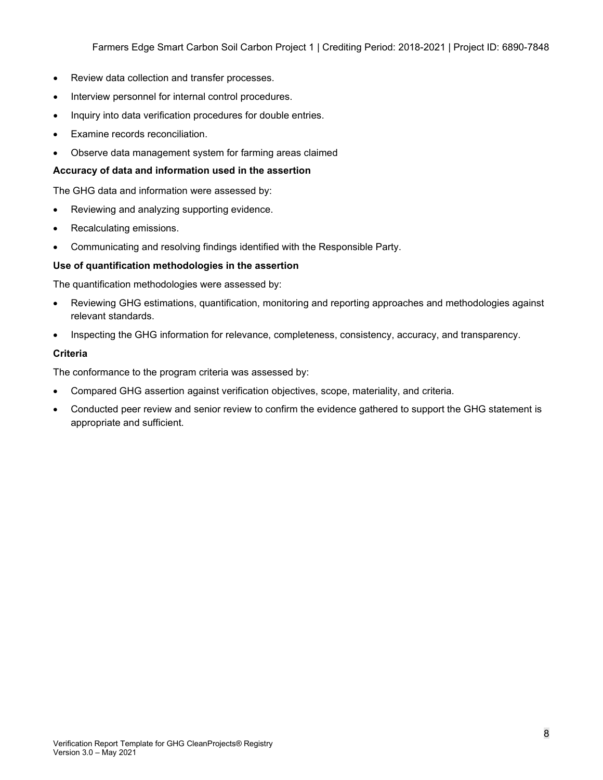Farmers Edge Smart Carbon Soil Carbon Project 1 | Crediting Period: 2018-2021 | Project ID: 6890-7848

- Review data collection and transfer processes.
- Interview personnel for internal control procedures.
- Inquiry into data verification procedures for double entries.
- Examine records reconciliation.
- Observe data management system for farming areas claimed

### **Accuracy of data and information used in the assertion**

The GHG data and information were assessed by:

- Reviewing and analyzing supporting evidence.
- Recalculating emissions.
- Communicating and resolving findings identified with the Responsible Party.

### **Use of quantification methodologies in the assertion**

The quantification methodologies were assessed by:

- Reviewing GHG estimations, quantification, monitoring and reporting approaches and methodologies against relevant standards.
- Inspecting the GHG information for relevance, completeness, consistency, accuracy, and transparency.

### **Criteria**

The conformance to the program criteria was assessed by:

- Compared GHG assertion against verification objectives, scope, materiality, and criteria.
- Conducted peer review and senior review to confirm the evidence gathered to support the GHG statement is appropriate and sufficient.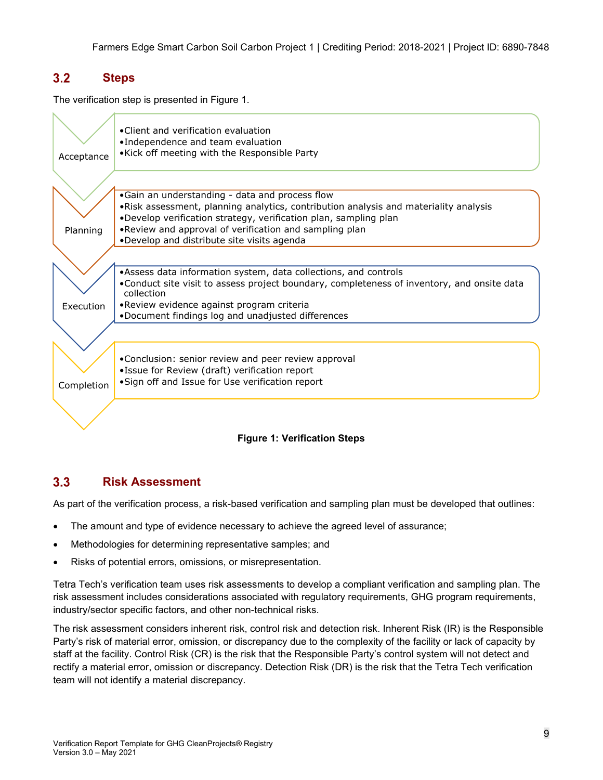#### <span id="page-10-0"></span> $3.2$ **Steps**

The verification step is presented in Figure 1.

| Acceptance | • Client and verification evaluation<br>•Independence and team evaluation<br>•Kick off meeting with the Responsible Party                                 |
|------------|-----------------------------------------------------------------------------------------------------------------------------------------------------------|
|            |                                                                                                                                                           |
|            |                                                                                                                                                           |
|            | •Gain an understanding - data and process flow                                                                                                            |
|            | . Risk assessment, planning analytics, contribution analysis and materiality analysis<br>.Develop verification strategy, verification plan, sampling plan |
| Planning   | . Review and approval of verification and sampling plan                                                                                                   |
|            | .Develop and distribute site visits agenda                                                                                                                |
|            |                                                                                                                                                           |
|            | •Assess data information system, data collections, and controls                                                                                           |
|            | •Conduct site visit to assess project boundary, completeness of inventory, and onsite data<br>collection                                                  |
| Execution  | •Review evidence against program criteria                                                                                                                 |
|            | .Document findings log and unadjusted differences                                                                                                         |
|            |                                                                                                                                                           |
|            | .Conclusion: senior review and peer review approval                                                                                                       |
|            | •Issue for Review (draft) verification report                                                                                                             |
|            | • Sign off and Issue for Use verification report                                                                                                          |
| Completion |                                                                                                                                                           |
|            |                                                                                                                                                           |

### **Figure 1: Verification Steps**

#### <span id="page-10-1"></span> $3.3$ **Risk Assessment**

As part of the verification process, a risk-based verification and sampling plan must be developed that outlines:

- The amount and type of evidence necessary to achieve the agreed level of assurance;
- Methodologies for determining representative samples; and
- Risks of potential errors, omissions, or misrepresentation.

Tetra Tech's verification team uses risk assessments to develop a compliant verification and sampling plan. The risk assessment includes considerations associated with regulatory requirements, GHG program requirements, industry/sector specific factors, and other non-technical risks.

The risk assessment considers inherent risk, control risk and detection risk. Inherent Risk (IR) is the Responsible Party's risk of material error, omission, or discrepancy due to the complexity of the facility or lack of capacity by staff at the facility. Control Risk (CR) is the risk that the Responsible Party's control system will not detect and rectify a material error, omission or discrepancy. Detection Risk (DR) is the risk that the Tetra Tech verification team will not identify a material discrepancy.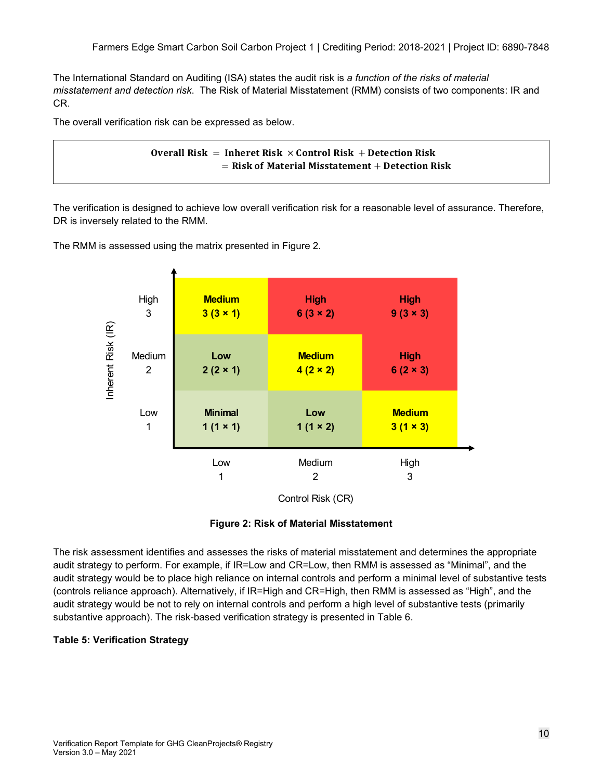The International Standard on Auditing (ISA) states the audit risk is *a function of the risks of material misstatement and detection risk*. The Risk of Material Misstatement (RMM) consists of two components: IR and CR.

The overall verification risk can be expressed as below.

```
Overall Risk = Inheret Risk \times Control Risk + Detection Risk
   = Risk of Material Misstatement + Detection Risk
```
The verification is designed to achieve low overall verification risk for a reasonable level of assurance. Therefore, DR is inversely related to the RMM.

The RMM is assessed using the matrix presented in Figure 2.



Control Risk (CR)

### **Figure 2: Risk of Material Misstatement**

The risk assessment identifies and assesses the risks of material misstatement and determines the appropriate audit strategy to perform. For example, if IR=Low and CR=Low, then RMM is assessed as "Minimal", and the audit strategy would be to place high reliance on internal controls and perform a minimal level of substantive tests (controls reliance approach). Alternatively, if IR=High and CR=High, then RMM is assessed as "High", and the audit strategy would be not to rely on internal controls and perform a high level of substantive tests (primarily substantive approach). The risk-based verification strategy is presented in Table 6.

### **Table 5: Verification Strategy**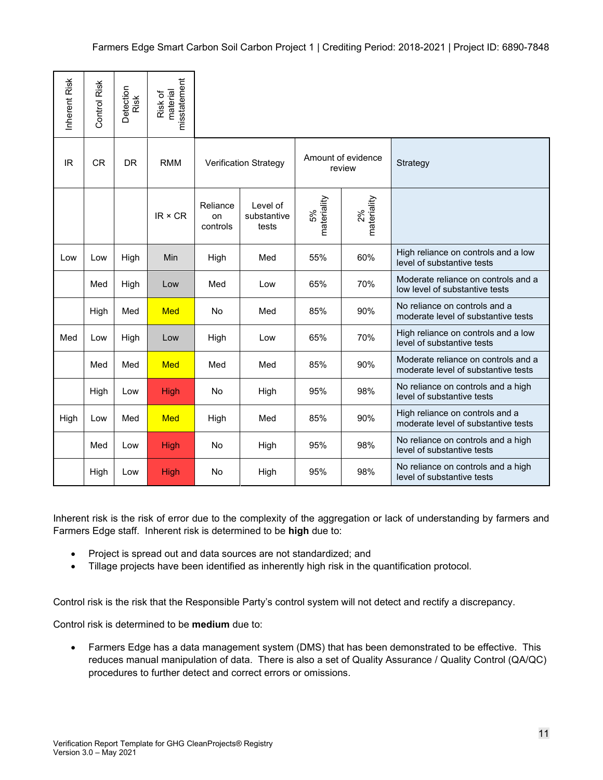| Inherent Risk                                                                                                                                                                                                                                                                                                                                                  | Control Risk                                                                                                                                                                                                                                                                 | Detection<br>Risk | misstatement<br>material<br>Risk of                          |                            |                                  |                   |                              |                                                                                                                 |
|----------------------------------------------------------------------------------------------------------------------------------------------------------------------------------------------------------------------------------------------------------------------------------------------------------------------------------------------------------------|------------------------------------------------------------------------------------------------------------------------------------------------------------------------------------------------------------------------------------------------------------------------------|-------------------|--------------------------------------------------------------|----------------------------|----------------------------------|-------------------|------------------------------|-----------------------------------------------------------------------------------------------------------------|
| <b>IR</b>                                                                                                                                                                                                                                                                                                                                                      | <b>CR</b>                                                                                                                                                                                                                                                                    | <b>DR</b>         | <b>RMM</b>                                                   |                            | <b>Verification Strategy</b>     |                   | Amount of evidence<br>review | Strategy                                                                                                        |
|                                                                                                                                                                                                                                                                                                                                                                |                                                                                                                                                                                                                                                                              |                   | $IR \times CR$                                               | Reliance<br>on<br>controls | Level of<br>substantive<br>tests | materiality<br>5% | materiality<br>2%            |                                                                                                                 |
| Low                                                                                                                                                                                                                                                                                                                                                            | Low                                                                                                                                                                                                                                                                          | High              | Min                                                          | High                       | Med                              | 55%               | 60%                          | High reliance on controls and a low<br>level of substantive tests                                               |
|                                                                                                                                                                                                                                                                                                                                                                | Med                                                                                                                                                                                                                                                                          | High              | Low                                                          | Med                        | Low                              | 65%               | 70%                          | Moderate reliance on controls and a<br>low level of substantive tests                                           |
|                                                                                                                                                                                                                                                                                                                                                                | High                                                                                                                                                                                                                                                                         | Med               | Med                                                          | No                         | Med                              | 85%               | 90%                          | No reliance on controls and a<br>moderate level of substantive tests                                            |
| Med                                                                                                                                                                                                                                                                                                                                                            | Low                                                                                                                                                                                                                                                                          | High              | Low                                                          | High                       | Low                              | 65%               | 70%                          | High reliance on controls and a low<br>level of substantive tests                                               |
|                                                                                                                                                                                                                                                                                                                                                                | Med                                                                                                                                                                                                                                                                          | Med               | Med                                                          | Med                        | Med                              | 85%               | 90%                          | Moderate reliance on controls and a<br>moderate level of substantive tests                                      |
|                                                                                                                                                                                                                                                                                                                                                                | High                                                                                                                                                                                                                                                                         | Low               | <b>High</b>                                                  | No.                        | High                             | 95%               | 98%                          | No reliance on controls and a high<br>level of substantive tests                                                |
| High                                                                                                                                                                                                                                                                                                                                                           | Low                                                                                                                                                                                                                                                                          | Med               | Med                                                          | High                       | Med                              | 85%               | 90%                          | High reliance on controls and a<br>moderate level of substantive tests                                          |
|                                                                                                                                                                                                                                                                                                                                                                | Med                                                                                                                                                                                                                                                                          | Low               | <b>High</b>                                                  | No                         | High                             | 95%               | 98%                          | No reliance on controls and a high<br>level of substantive tests                                                |
|                                                                                                                                                                                                                                                                                                                                                                | High                                                                                                                                                                                                                                                                         | Low               | High                                                         | No                         | High                             | 95%               | 98%                          | No reliance on controls and a high<br>level of substantive tests                                                |
| Inherent risk is the risk of error due to the complexity of the aggregation or lack of understanding by farmers and<br>Farmers Edge staff. Inherent risk is determined to be high due to:<br>Project is spread out and data sources are not standardized; and<br>Tillage projects have been identified as inherently high risk in the quantification protocol. |                                                                                                                                                                                                                                                                              |                   |                                                              |                            |                                  |                   |                              |                                                                                                                 |
|                                                                                                                                                                                                                                                                                                                                                                |                                                                                                                                                                                                                                                                              |                   |                                                              |                            |                                  |                   |                              | Control risk is the risk that the Responsible Party's control system will not detect and rectify a discrepancy. |
| Control risk is determined to be medium due to:                                                                                                                                                                                                                                                                                                                |                                                                                                                                                                                                                                                                              |                   |                                                              |                            |                                  |                   |                              |                                                                                                                 |
|                                                                                                                                                                                                                                                                                                                                                                | Farmers Edge has a data management system (DMS) that has been demonstrated to be effective. This<br>reduces manual manipulation of data. There is also a set of Quality Assurance / Quality Control (QA/QC)<br>procedures to further detect and correct errors or omissions. |                   |                                                              |                            |                                  |                   |                              |                                                                                                                 |
| Version 3.0 - May 2021                                                                                                                                                                                                                                                                                                                                         |                                                                                                                                                                                                                                                                              |                   | Verification Report Template for GHG CleanProjects® Registry |                            |                                  |                   |                              | 11                                                                                                              |

- Project is spread out and data sources are not standardized; and
- Tillage projects have been identified as inherently high risk in the quantification protocol.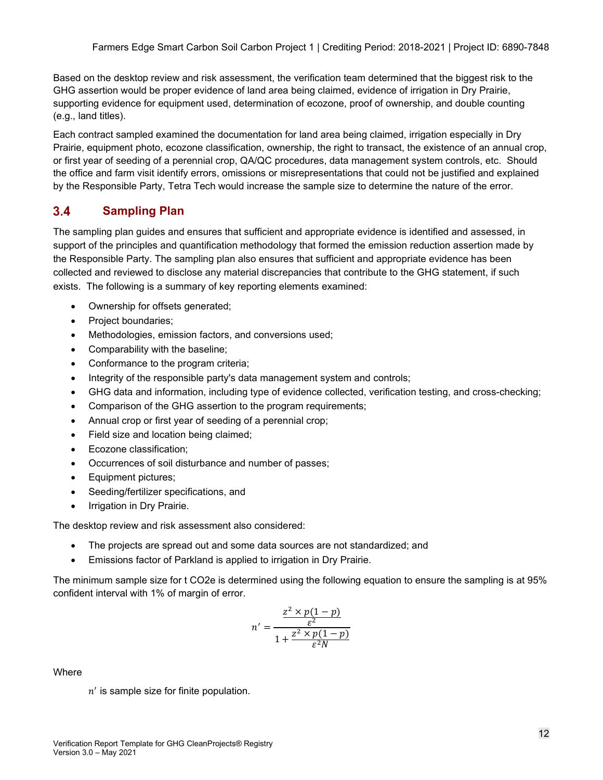Based on the desktop review and risk assessment, the verification team determined that the biggest risk to the GHG assertion would be proper evidence of land area being claimed, evidence of irrigation in Dry Prairie, supporting evidence for equipment used, determination of ecozone, proof of ownership, and double counting (e.g., land titles).

Each contract sampled examined the documentation for land area being claimed, irrigation especially in Dry Prairie, equipment photo, ecozone classification, ownership, the right to transact, the existence of an annual crop, or first year of seeding of a perennial crop, QA/QC procedures, data management system controls, etc. Should the office and farm visit identify errors, omissions or misrepresentations that could not be justified and explained by the Responsible Party, Tetra Tech would increase the sample size to determine the nature of the error.

#### <span id="page-13-0"></span> $3.4$ **Sampling Plan**

The sampling plan guides and ensures that sufficient and appropriate evidence is identified and assessed, in support of the principles and quantification methodology that formed the emission reduction assertion made by the Responsible Party. The sampling plan also ensures that sufficient and appropriate evidence has been collected and reviewed to disclose any material discrepancies that contribute to the GHG statement, if such exists. The following is a summary of key reporting elements examined:

- Ownership for offsets generated;
- Project boundaries;
- Methodologies, emission factors, and conversions used;
- Comparability with the baseline;
- Conformance to the program criteria;
- Integrity of the responsible party's data management system and controls;
- GHG data and information, including type of evidence collected, verification testing, and cross-checking;
- Comparison of the GHG assertion to the program requirements;
- Annual crop or first year of seeding of a perennial crop;
- Field size and location being claimed;
- Ecozone classification;
- Occurrences of soil disturbance and number of passes;
- Equipment pictures;
- Seeding/fertilizer specifications, and
- Irrigation in Dry Prairie.

The desktop review and risk assessment also considered:

- The projects are spread out and some data sources are not standardized; and
- Emissions factor of Parkland is applied to irrigation in Dry Prairie.

The minimum sample size for t CO2e is determined using the following equation to ensure the sampling is at 95% confident interval with 1% of margin of error.

$$
n' = \frac{\frac{z^2 \times p(1-p)}{\varepsilon^2}}{1 + \frac{z^2 \times p(1-p)}{\varepsilon^2 N}}
$$

**Where** 

 $n'$  is sample size for finite population.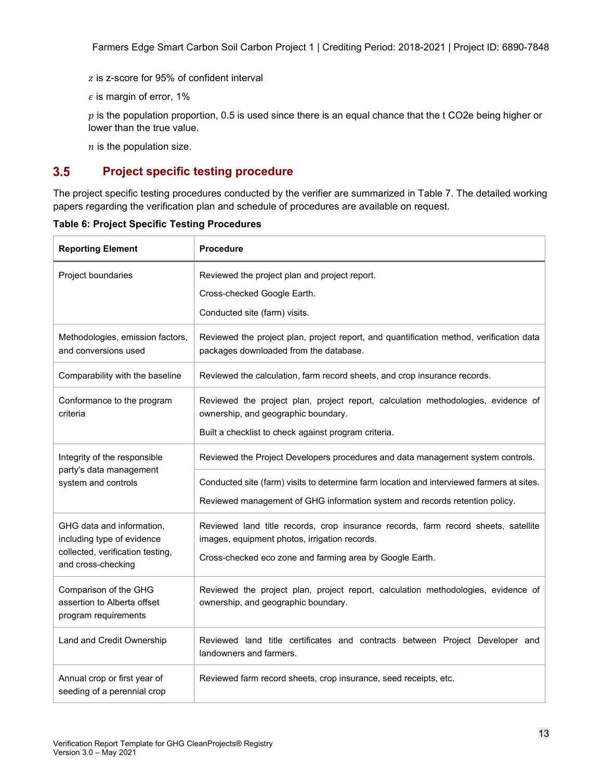Farmers Edge Smart Carbon Soil Carbon Project 1 | Crediting Period: 2018-2021 | Project ID: 6890-7848

- z is z-score for 95% of confident interval
- $\varepsilon$  is margin of error, 1%

 $p$  is the population proportion, 0.5 is used since there is an equal chance that the t CO2e being higher or lower than the true value.

 $n$  is the population size.

#### <span id="page-14-0"></span> $3.5$ **Project specific testing procedure**

The project specific testing procedures conducted by the verifier are summarized in Table 7. The detailed working papers regarding the verification plan and schedule of procedures are available on request.

| <b>Reporting Element</b>                                                                                          | <b>Procedure</b>                                                                                                                                                                                |
|-------------------------------------------------------------------------------------------------------------------|-------------------------------------------------------------------------------------------------------------------------------------------------------------------------------------------------|
| Project boundaries                                                                                                | Reviewed the project plan and project report.<br>Cross-checked Google Earth.<br>Conducted site (farm) visits.                                                                                   |
| Methodologies, emission factors,<br>and conversions used                                                          | Reviewed the project plan, project report, and quantification method, verification data<br>packages downloaded from the database.                                                               |
| Comparability with the baseline                                                                                   | Reviewed the calculation, farm record sheets, and crop insurance records.                                                                                                                       |
| Conformance to the program<br>criteria                                                                            | Reviewed the project plan, project report, calculation methodologies, evidence of<br>ownership, and geographic boundary.<br>Built a checklist to check against program criteria.                |
| Integrity of the responsible                                                                                      | Reviewed the Project Developers procedures and data management system controls.                                                                                                                 |
| party's data management<br>system and controls                                                                    | Conducted site (farm) visits to determine farm location and interviewed farmers at sites.<br>Reviewed management of GHG information system and records retention policy.                        |
| GHG data and information,<br>including type of evidence<br>collected, verification testing,<br>and cross-checking | Reviewed land title records, crop insurance records, farm record sheets, satellite<br>images, equipment photos, irrigation records.<br>Cross-checked eco zone and farming area by Google Earth. |
| Comparison of the GHG<br>assertion to Alberta offset<br>program requirements                                      | Reviewed the project plan, project report, calculation methodologies, evidence of<br>ownership, and geographic boundary.                                                                        |
| Land and Credit Ownership                                                                                         | Reviewed land title certificates and contracts between Project Developer and<br>landowners and farmers.                                                                                         |
| Annual crop or first year of<br>seeding of a perennial crop                                                       | Reviewed farm record sheets, crop insurance, seed receipts, etc.                                                                                                                                |

**Table 6: Project Specific Testing Procedures**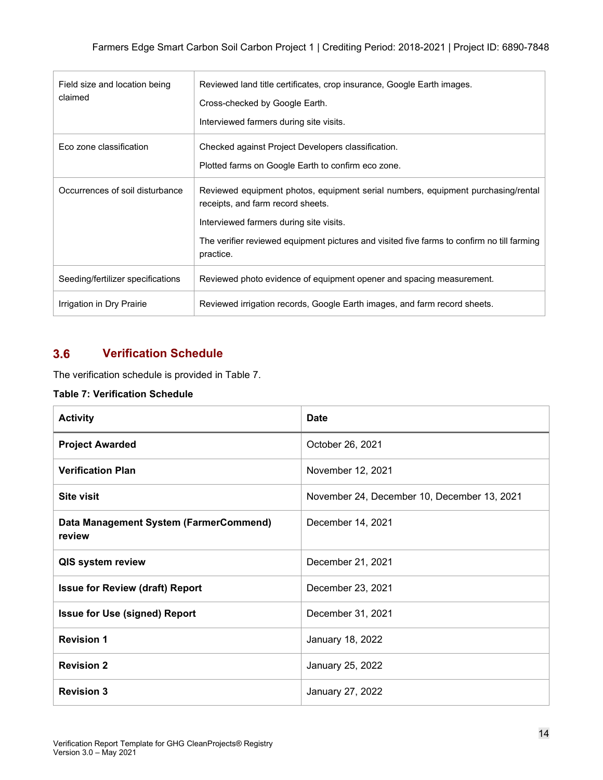| Field size and location being<br>claimed | Reviewed land title certificates, crop insurance, Google Earth images.                                                |
|------------------------------------------|-----------------------------------------------------------------------------------------------------------------------|
|                                          | Cross-checked by Google Earth.                                                                                        |
|                                          | Interviewed farmers during site visits.                                                                               |
| Eco zone classification                  | Checked against Project Developers classification.                                                                    |
|                                          | Plotted farms on Google Earth to confirm eco zone.                                                                    |
| Occurrences of soil disturbance          | Reviewed equipment photos, equipment serial numbers, equipment purchasing/rental<br>receipts, and farm record sheets. |
|                                          | Interviewed farmers during site visits.                                                                               |
|                                          | The verifier reviewed equipment pictures and visited five farms to confirm no till farming<br>practice.               |
| Seeding/fertilizer specifications        | Reviewed photo evidence of equipment opener and spacing measurement.                                                  |
| Irrigation in Dry Prairie                | Reviewed irrigation records, Google Earth images, and farm record sheets.                                             |

#### <span id="page-15-0"></span> $3.6$ **Verification Schedule**

The verification schedule is provided in Table 7.

### **Table 7: Verification Schedule**

| <b>Activity</b>                                  | <b>Date</b>                                 |
|--------------------------------------------------|---------------------------------------------|
| <b>Project Awarded</b>                           | October 26, 2021                            |
| <b>Verification Plan</b>                         | November 12, 2021                           |
| <b>Site visit</b>                                | November 24, December 10, December 13, 2021 |
| Data Management System (FarmerCommend)<br>review | December 14, 2021                           |
| QIS system review                                | December 21, 2021                           |
| <b>Issue for Review (draft) Report</b>           | December 23, 2021                           |
| <b>Issue for Use (signed) Report</b>             | December 31, 2021                           |
| <b>Revision 1</b>                                | January 18, 2022                            |
| <b>Revision 2</b>                                | January 25, 2022                            |
| <b>Revision 3</b>                                | January 27, 2022                            |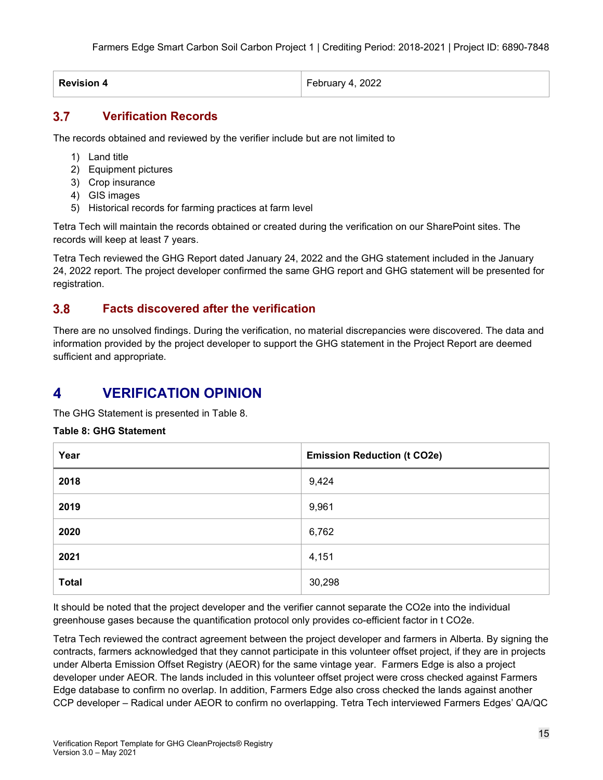| <b>Revision 4</b> | February 4, 2022 |
|-------------------|------------------|
|                   |                  |

#### <span id="page-16-0"></span> $3.7$ **Verification Records**

The records obtained and reviewed by the verifier include but are not limited to

- 1) Land title
- 2) Equipment pictures
- 3) Crop insurance
- 4) GIS images
- 5) Historical records for farming practices at farm level

Tetra Tech will maintain the records obtained or created during the verification on our SharePoint sites. The records will keep at least 7 years.

Tetra Tech reviewed the GHG Report dated January 24, 2022 and the GHG statement included in the January 24, 2022 report. The project developer confirmed the same GHG report and GHG statement will be presented for registration.

#### <span id="page-16-1"></span> $3.8$ **Facts discovered after the verification**

There are no unsolved findings. During the verification, no material discrepancies were discovered. The data and information provided by the project developer to support the GHG statement in the Project Report are deemed sufficient and appropriate.

#### <span id="page-16-2"></span> $\blacktriangle$ **VERIFICATION OPINION**

The GHG Statement is presented in Table 8.

### **Table 8: GHG Statement**

| Year         | <b>Emission Reduction (t CO2e)</b> |
|--------------|------------------------------------|
| 2018         | 9,424                              |
| 2019         | 9,961                              |
| 2020         | 6,762                              |
| 2021         | 4,151                              |
| <b>Total</b> | 30,298                             |

It should be noted that the project developer and the verifier cannot separate the CO2e into the individual greenhouse gases because the quantification protocol only provides co-efficient factor in t CO2e.

Tetra Tech reviewed the contract agreement between the project developer and farmers in Alberta. By signing the contracts, farmers acknowledged that they cannot participate in this volunteer offset project, if they are in projects under Alberta Emission Offset Registry (AEOR) for the same vintage year. Farmers Edge is also a project developer under AEOR. The lands included in this volunteer offset project were cross checked against Farmers Edge database to confirm no overlap. In addition, Farmers Edge also cross checked the lands against another CCP developer – Radical under AEOR to confirm no overlapping. Tetra Tech interviewed Farmers Edges' QA/QC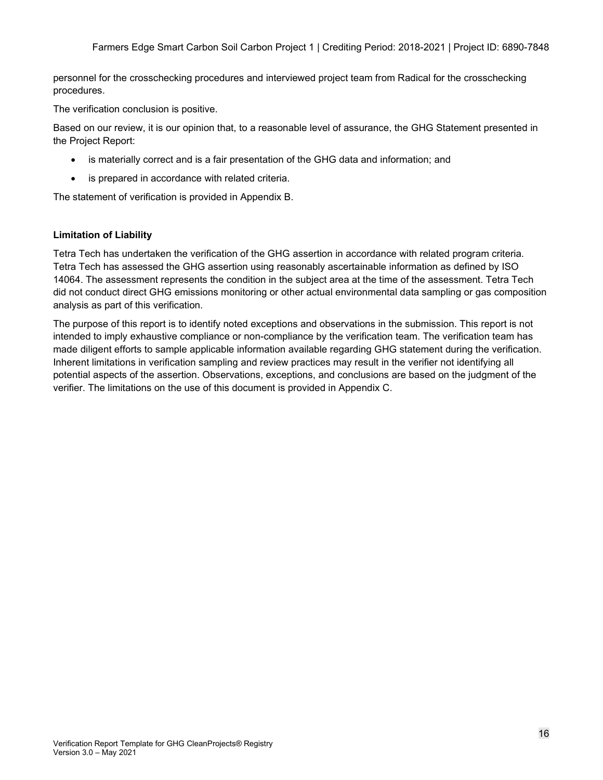personnel for the crosschecking procedures and interviewed project team from Radical for the crosschecking procedures.

The verification conclusion is positive.

Based on our review, it is our opinion that, to a reasonable level of assurance, the GHG Statement presented in the Project Report:

- is materially correct and is a fair presentation of the GHG data and information; and
- is prepared in accordance with related criteria.

The statement of verification is provided in Appendix B.

### **Limitation of Liability**

Tetra Tech has undertaken the verification of the GHG assertion in accordance with related program criteria. Tetra Tech has assessed the GHG assertion using reasonably ascertainable information as defined by ISO 14064. The assessment represents the condition in the subject area at the time of the assessment. Tetra Tech did not conduct direct GHG emissions monitoring or other actual environmental data sampling or gas composition analysis as part of this verification.

The purpose of this report is to identify noted exceptions and observations in the submission. This report is not intended to imply exhaustive compliance or non-compliance by the verification team. The verification team has made diligent efforts to sample applicable information available regarding GHG statement during the verification. Inherent limitations in verification sampling and review practices may result in the verifier not identifying all potential aspects of the assertion. Observations, exceptions, and conclusions are based on the judgment of the verifier. The limitations on the use of this document is provided in Appendix C.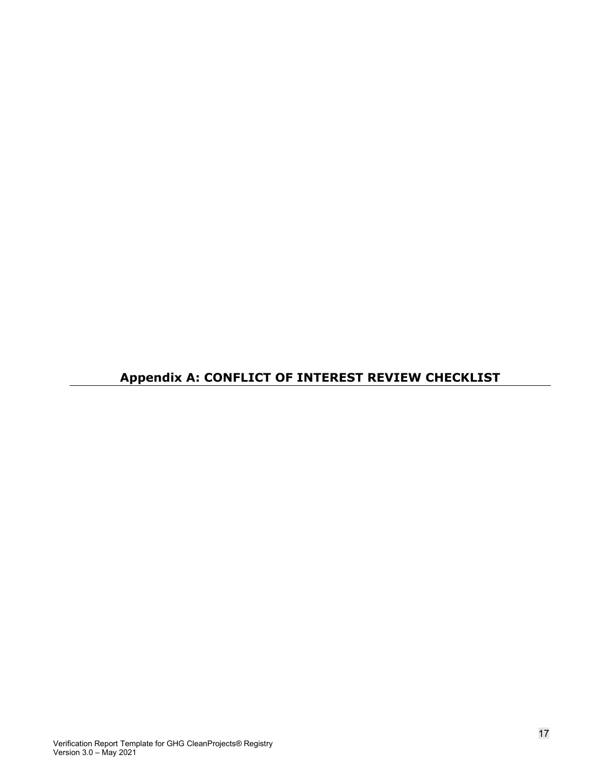# **Appendix A: CONFLICT OF INTEREST REVIEW CHECKLIST**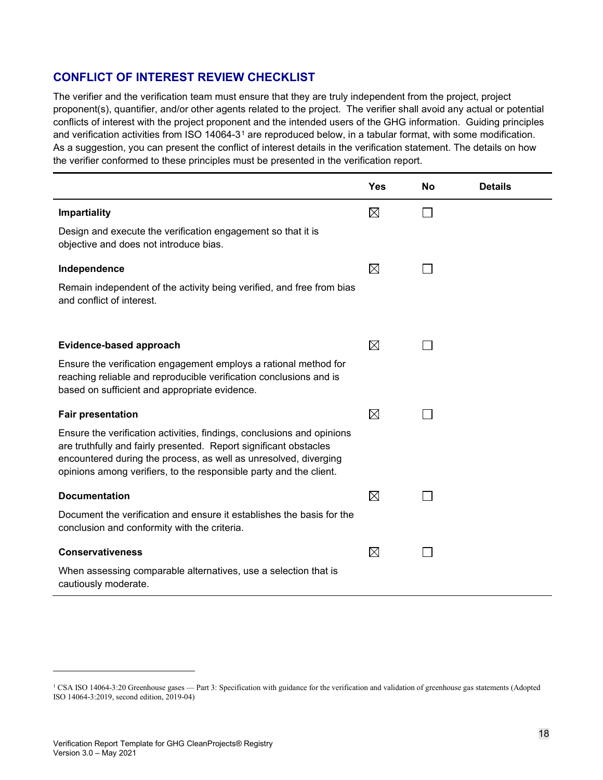### **CONFLICT OF INTEREST REVIEW CHECKLIST**

The verifier and the verification team must ensure that they are truly independent from the project, project proponent(s), quantifier, and/or other agents related to the project. The verifier shall avoid any actual or potential conflicts of interest with the project proponent and the intended users of the GHG information. Guiding principles and verification activities from ISO [1](#page-19-0)4064-3<sup>1</sup> are reproduced below, in a tabular format, with some modification. As a suggestion, you can present the conflict of interest details in the verification statement. The details on how the verifier conformed to these principles must be presented in the verification report.

|                                                                                                                                                                                                                                                                                       | <b>Yes</b>  | No | <b>Details</b> |
|---------------------------------------------------------------------------------------------------------------------------------------------------------------------------------------------------------------------------------------------------------------------------------------|-------------|----|----------------|
| <b>Impartiality</b>                                                                                                                                                                                                                                                                   | $\boxtimes$ |    |                |
| Design and execute the verification engagement so that it is<br>objective and does not introduce bias.                                                                                                                                                                                |             |    |                |
| Independence                                                                                                                                                                                                                                                                          | $\boxtimes$ |    |                |
| Remain independent of the activity being verified, and free from bias<br>and conflict of interest.                                                                                                                                                                                    |             |    |                |
| Evidence-based approach                                                                                                                                                                                                                                                               | $\boxtimes$ |    |                |
| Ensure the verification engagement employs a rational method for<br>reaching reliable and reproducible verification conclusions and is<br>based on sufficient and appropriate evidence.                                                                                               |             |    |                |
| <b>Fair presentation</b>                                                                                                                                                                                                                                                              | $\boxtimes$ |    |                |
| Ensure the verification activities, findings, conclusions and opinions<br>are truthfully and fairly presented. Report significant obstacles<br>encountered during the process, as well as unresolved, diverging<br>opinions among verifiers, to the responsible party and the client. |             |    |                |
| <b>Documentation</b>                                                                                                                                                                                                                                                                  | $\boxtimes$ |    |                |
| Document the verification and ensure it establishes the basis for the<br>conclusion and conformity with the criteria.                                                                                                                                                                 |             |    |                |
| <b>Conservativeness</b>                                                                                                                                                                                                                                                               | $\boxtimes$ |    |                |
| When assessing comparable alternatives, use a selection that is<br>cautiously moderate.                                                                                                                                                                                               |             |    |                |

<span id="page-19-0"></span><sup>&</sup>lt;sup>1</sup> CSA ISO 14064-3:20 Greenhouse gases — Part 3: Specification with guidance for the verification and validation of greenhouse gas statements (Adopted ISO 14064-3:2019, second edition, 2019-04)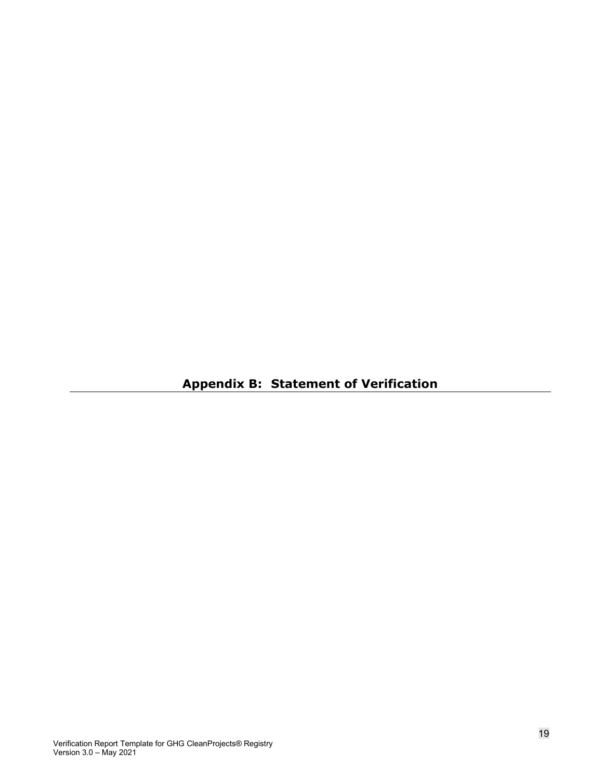**Appendix B: Statement of Verification**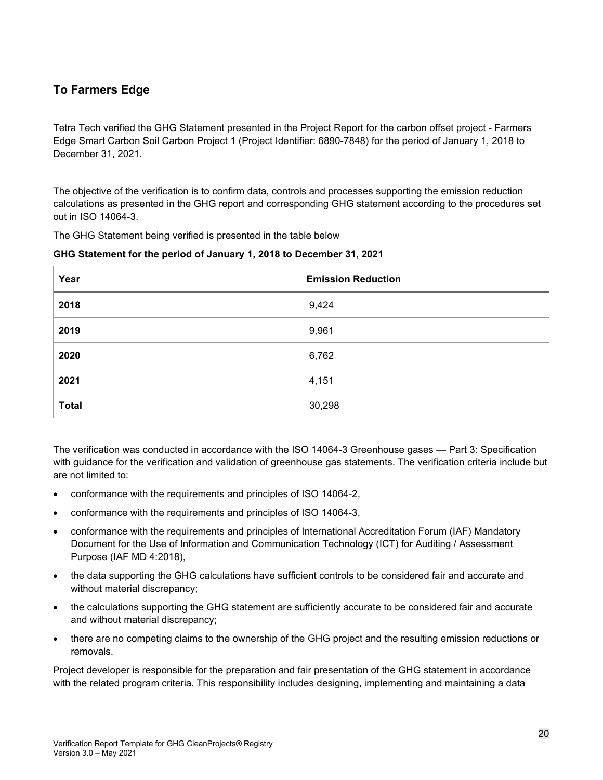### **To Farmers Edge**

Tetra Tech verified the GHG Statement presented in the Project Report for the carbon offset project - Farmers Edge Smart Carbon Soil Carbon Project 1 (Project Identifier: 6890-7848) for the period of January 1, 2018 to December 31, 2021.

The objective of the verification is to confirm data, controls and processes supporting the emission reduction calculations as presented in the GHG report and corresponding GHG statement according to the procedures set out in ISO 14064-3.

The GHG Statement being verified is presented in the table below

### **GHG Statement for the period of January 1, 2018 to December 31, 2021**

| Year         | <b>Emission Reduction</b> |
|--------------|---------------------------|
| 2018         | 9,424                     |
| 2019         | 9,961                     |
| 2020         | 6,762                     |
| 2021         | 4,151                     |
| <b>Total</b> | 30,298                    |

The verification was conducted in accordance with the ISO 14064-3 Greenhouse gases — Part 3: Specification with guidance for the verification and validation of greenhouse gas statements. The verification criteria include but are not limited to:

- conformance with the requirements and principles of ISO 14064-2,
- conformance with the requirements and principles of ISO 14064-3,
- conformance with the requirements and principles of International Accreditation Forum (IAF) Mandatory Document for the Use of Information and Communication Technology (ICT) for Auditing / Assessment Purpose (IAF MD 4:2018),
- the data supporting the GHG calculations have sufficient controls to be considered fair and accurate and without material discrepancy;
- the calculations supporting the GHG statement are sufficiently accurate to be considered fair and accurate and without material discrepancy;
- there are no competing claims to the ownership of the GHG project and the resulting emission reductions or removals.

Project developer is responsible for the preparation and fair presentation of the GHG statement in accordance with the related program criteria. This responsibility includes designing, implementing and maintaining a data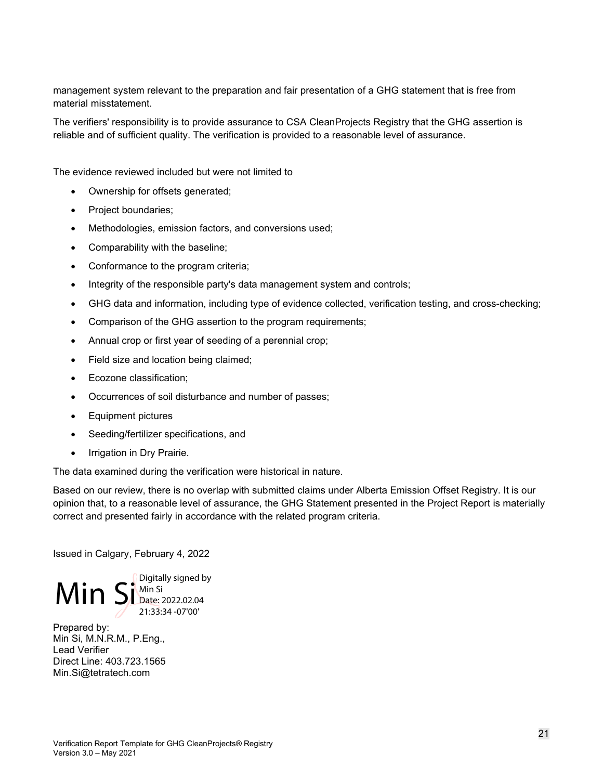management system relevant to the preparation and fair presentation of a GHG statement that is free from material misstatement.

The verifiers' responsibility is to provide assurance to CSA CleanProjects Registry that the GHG assertion is reliable and of sufficient quality. The verification is provided to a reasonable level of assurance.

The evidence reviewed included but were not limited to

- Ownership for offsets generated;
- Project boundaries;
- Methodologies, emission factors, and conversions used;
- Comparability with the baseline;
- Conformance to the program criteria;
- Integrity of the responsible party's data management system and controls;
- GHG data and information, including type of evidence collected, verification testing, and cross-checking;
- Comparison of the GHG assertion to the program requirements;
- Annual crop or first year of seeding of a perennial crop;
- Field size and location being claimed;
- Ecozone classification;
- Occurrences of soil disturbance and number of passes;
- Equipment pictures
- Seeding/fertilizer specifications, and
- Irrigation in Dry Prairie.

The data examined during the verification were historical in nature.

Based on our review, there is no overlap with submitted claims under Alberta Emission Offset Registry. It is our opinion that, to a reasonable level of assurance, the GHG Statement presented in the Project Report is materially correct and presented fairly in accordance with the related program criteria.

Issued in Calgary, February 4, 2022



Prepared by: Min Si, M.N.R.M., P.Eng., Lead Verifier Direct Line: 403.723.1565 Min.Si@tetratech.com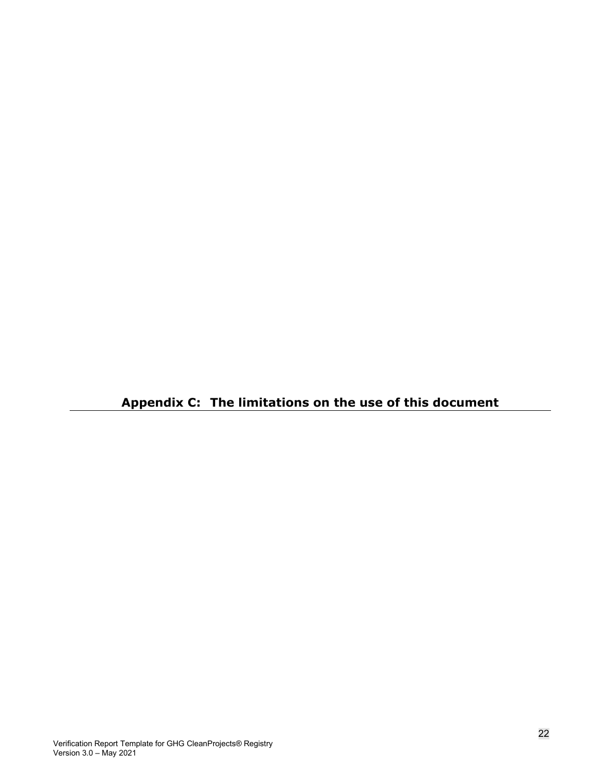**Appendix C: The limitations on the use of this document**